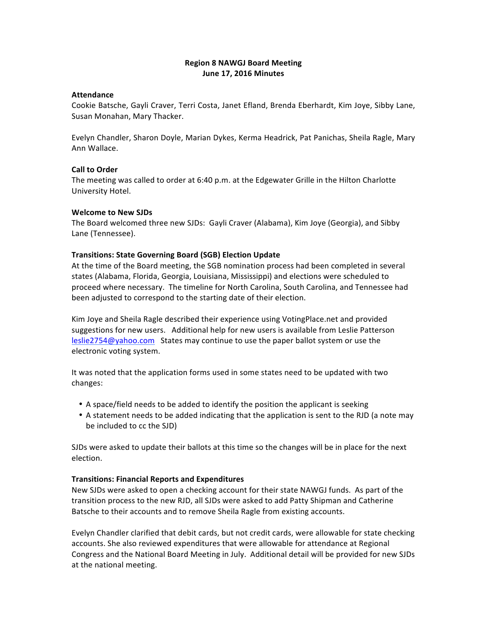# **Region 8 NAWGJ Board Meeting June 17, 2016 Minutes**

### **Attendance**

Cookie Batsche, Gayli Craver, Terri Costa, Janet Efland, Brenda Eberhardt, Kim Joye, Sibby Lane, Susan Monahan, Mary Thacker.

Evelyn Chandler, Sharon Doyle, Marian Dykes, Kerma Headrick, Pat Panichas, Sheila Ragle, Mary Ann Wallace.

### **Call to Order**

The meeting was called to order at 6:40 p.m. at the Edgewater Grille in the Hilton Charlotte University Hotel.

### **Welcome to New SJDs**

The Board welcomed three new SJDs: Gayli Craver (Alabama), Kim Joye (Georgia), and Sibby Lane (Tennessee).

## **Transitions: State Governing Board (SGB) Election Update**

At the time of the Board meeting, the SGB nomination process had been completed in several states (Alabama, Florida, Georgia, Louisiana, Mississippi) and elections were scheduled to proceed where necessary. The timeline for North Carolina, South Carolina, and Tennessee had been adjusted to correspond to the starting date of their election.

Kim Joye and Sheila Ragle described their experience using VotingPlace.net and provided suggestions for new users. Additional help for new users is available from Leslie Patterson  $leslie2754@yahoo.com$  States may continue to use the paper ballot system or use the electronic voting system.

It was noted that the application forms used in some states need to be updated with two changes:

- A space/field needs to be added to identify the position the applicant is seeking
- A statement needs to be added indicating that the application is sent to the RJD (a note may be included to cc the SJD)

SJDs were asked to update their ballots at this time so the changes will be in place for the next election.

### **Transitions: Financial Reports and Expenditures**

New SJDs were asked to open a checking account for their state NAWGJ funds. As part of the transition process to the new RJD, all SJDs were asked to add Patty Shipman and Catherine Batsche to their accounts and to remove Sheila Ragle from existing accounts.

Evelyn Chandler clarified that debit cards, but not credit cards, were allowable for state checking accounts. She also reviewed expenditures that were allowable for attendance at Regional Congress and the National Board Meeting in July. Additional detail will be provided for new SJDs at the national meeting.